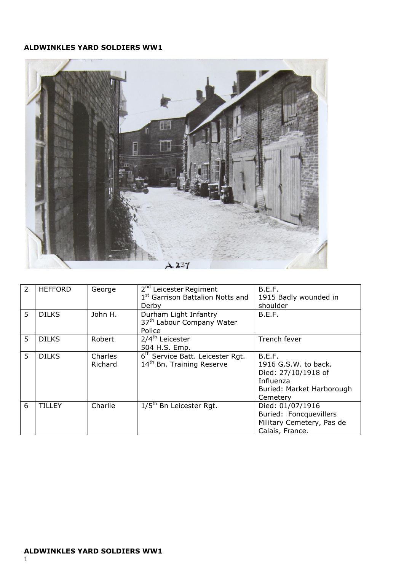## **ALDWINKLES YARD SOLDIERS WW1**



| 2 | <b>HEFFORD</b> | George             | 2 <sup>nd</sup> Leicester Regiment<br>1st Garrison Battalion Notts and<br>Derby       | B.E.F.<br>1915 Badly wounded in<br>shoulder                                                                 |
|---|----------------|--------------------|---------------------------------------------------------------------------------------|-------------------------------------------------------------------------------------------------------------|
| 5 | <b>DILKS</b>   | John H.            | Durham Light Infantry<br>37 <sup>th</sup> Labour Company Water<br>Police              | B.E.F.                                                                                                      |
| 5 | <b>DILKS</b>   | Robert             | 2/4 <sup>th</sup> Leicester<br>504 H.S. Emp.                                          | Trench fever                                                                                                |
| 5 | <b>DILKS</b>   | Charles<br>Richard | 6 <sup>th</sup> Service Batt. Leicester Rgt.<br>14 <sup>th</sup> Bn. Training Reserve | B.E.F.<br>1916 G.S.W. to back.<br>Died: 27/10/1918 of<br>Influenza<br>Buried: Market Harborough<br>Cemetery |
| 6 | TILL FY        | Charlie            | $1/5th$ Bn Leicester Rgt.                                                             | Died: 01/07/1916<br>Buried: Foncquevillers<br>Military Cemetery, Pas de<br>Calais, France.                  |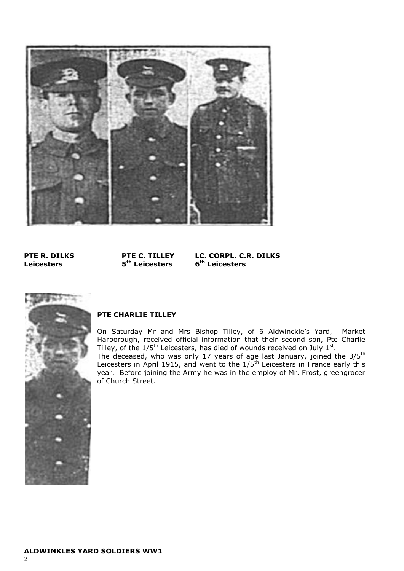

**Leicesters 5**

**th Leicesters 6**

**PTE R. DILKS PTE C. TILLEY LC. CORPL. C.R. DILKS th Leicesters** 



## **PTE CHARLIE TILLEY**

On Saturday Mr and Mrs Bishop Tilley, of 6 Aldwinckle's Yard, Market Harborough, received official information that their second son, Pte Charlie Tilley, of the  $1/5<sup>th</sup>$  Leicesters, has died of wounds received on July  $1<sup>st</sup>$ . The deceased, who was only 17 years of age last January, joined the 3/5<sup>th</sup> Leicesters in April 1915, and went to the  $1/5$ <sup>th</sup> Leicesters in France early this year. Before joining the Army he was in the employ of Mr. Frost, greengrocer of Church Street.